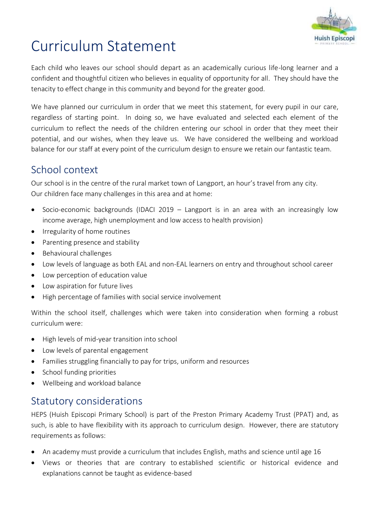

# Curriculum Statement

Each child who leaves our school should depart as an academically curious life-long learner and a confident and thoughtful citizen who believes in equality of opportunity for all. They should have the tenacity to effect change in this community and beyond for the greater good.

We have planned our curriculum in order that we meet this statement, for every pupil in our care, regardless of starting point. In doing so, we have evaluated and selected each element of the curriculum to reflect the needs of the children entering our school in order that they meet their potential, and our wishes, when they leave us. We have considered the wellbeing and workload balance for our staff at every point of the curriculum design to ensure we retain our fantastic team.

#### School context

Our school is in the centre of the rural market town of Langport, an hour's travel from any city. Our children face many challenges in this area and at home:

- Socio-economic backgrounds (IDACI 2019 Langport is in an area with an increasingly low income average, high unemployment and low access to health provision)
- Irregularity of home routines
- Parenting presence and stability
- Behavioural challenges
- Low levels of language as both EAL and non-EAL learners on entry and throughout school career
- Low perception of education value
- Low aspiration for future lives
- High percentage of families with social service involvement

Within the school itself, challenges which were taken into consideration when forming a robust curriculum were:

- High levels of mid-year transition into school
- Low levels of parental engagement
- Families struggling financially to pay for trips, uniform and resources
- School funding priorities
- Wellbeing and workload balance

## Statutory considerations

HEPS (Huish Episcopi Primary School) is part of the Preston Primary Academy Trust (PPAT) and, as such, is able to have flexibility with its approach to curriculum design. However, there are statutory requirements as follows:

- An academy must provide a curriculum that includes English, maths and science until age 16
- Views or theories that are contrary to established scientific or historical evidence and explanations cannot be taught as evidence-based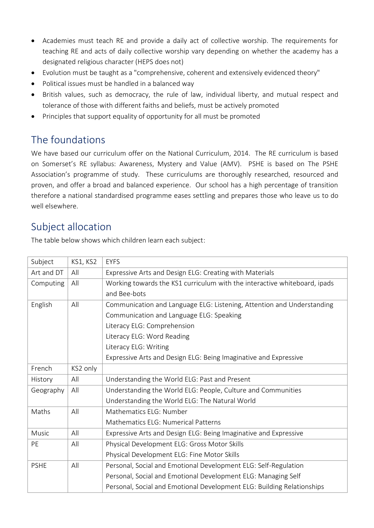- Academies must teach RE and provide a daily act of collective worship. The requirements for teaching RE and acts of daily collective worship vary depending on whether the academy has a designated religious character (HEPS does not)
- Evolution must be taught as a "comprehensive, coherent and extensively evidenced theory"
- Political issues must be handled in a balanced way
- British values, such as democracy, the rule of law, individual liberty, and mutual respect and tolerance of those with different faiths and beliefs, must be actively promoted
- Principles that support equality of opportunity for all must be promoted

# The foundations

We have based our curriculum offer on the National Curriculum, 2014. The RE curriculum is based on Somerset's RE syllabus: Awareness, Mystery and Value (AMV). PSHE is based on The PSHE Association's programme of study. These curriculums are thoroughly researched, resourced and proven, and offer a broad and balanced experience. Our school has a high percentage of transition therefore a national standardised programme eases settling and prepares those who leave us to do well elsewhere.

## Subject allocation

The table below shows which children learn each subject:

| Subject      | KS1, KS2 | <b>EYFS</b>                                                               |  |  |  |  |  |  |
|--------------|----------|---------------------------------------------------------------------------|--|--|--|--|--|--|
| Art and DT   | All      | Expressive Arts and Design ELG: Creating with Materials                   |  |  |  |  |  |  |
| Computing    | All      | Working towards the KS1 curriculum with the interactive whiteboard, ipads |  |  |  |  |  |  |
|              |          | and Bee-bots                                                              |  |  |  |  |  |  |
| English      | All      | Communication and Language ELG: Listening, Attention and Understanding    |  |  |  |  |  |  |
|              |          | Communication and Language ELG: Speaking                                  |  |  |  |  |  |  |
|              |          | Literacy ELG: Comprehension                                               |  |  |  |  |  |  |
|              |          | Literacy ELG: Word Reading                                                |  |  |  |  |  |  |
|              |          | Literacy ELG: Writing                                                     |  |  |  |  |  |  |
|              |          | Expressive Arts and Design ELG: Being Imaginative and Expressive          |  |  |  |  |  |  |
| French       | KS2 only |                                                                           |  |  |  |  |  |  |
| History      | All      | Understanding the World ELG: Past and Present                             |  |  |  |  |  |  |
| Geography    | All      | Understanding the World ELG: People, Culture and Communities              |  |  |  |  |  |  |
|              |          | Understanding the World ELG: The Natural World                            |  |  |  |  |  |  |
| Maths        | All      | Mathematics ELG: Number                                                   |  |  |  |  |  |  |
|              |          | Mathematics ELG: Numerical Patterns                                       |  |  |  |  |  |  |
| <b>Music</b> | All      | Expressive Arts and Design ELG: Being Imaginative and Expressive          |  |  |  |  |  |  |
| PE           | All      | Physical Development ELG: Gross Motor Skills                              |  |  |  |  |  |  |
|              |          | Physical Development ELG: Fine Motor Skills                               |  |  |  |  |  |  |
| <b>PSHE</b>  | All      | Personal, Social and Emotional Development ELG: Self-Regulation           |  |  |  |  |  |  |
|              |          | Personal, Social and Emotional Development ELG: Managing Self             |  |  |  |  |  |  |
|              |          | Personal, Social and Emotional Development ELG: Building Relationships    |  |  |  |  |  |  |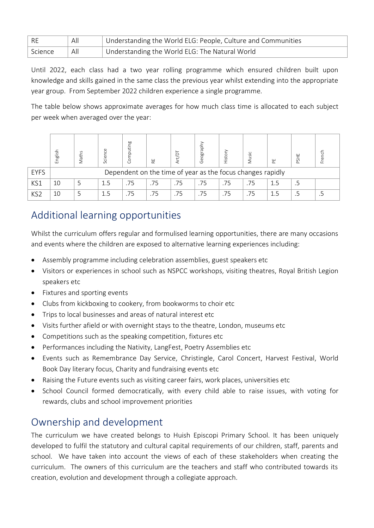| - RE    | All | Understanding the World ELG: People, Culture and Communities |
|---------|-----|--------------------------------------------------------------|
| Science | All | Understanding the World ELG: The Natural World               |

Until 2022, each class had a two year rolling programme which ensured children built upon knowledge and skills gained in the same class the previous year whilst extending into the appropriate year group. From September 2022 children experience a single programme.

The table below shows approximate averages for how much class time is allocated to each subject per week when averaged over the year:

|                 | nglish<br>ш                                                | hath | cier | po  | 냁   |     | eog<br>$\circ$ | isto | Sic | 뿐   | PSHE | French |
|-----------------|------------------------------------------------------------|------|------|-----|-----|-----|----------------|------|-----|-----|------|--------|
| <b>EYFS</b>     | Dependent on the time of year as the focus changes rapidly |      |      |     |     |     |                |      |     |     |      |        |
| KS1             | 10                                                         |      | 1.5  | .75 | .75 | .75 | .75            | .75  | .75 | 1.5 | .5   |        |
| KS <sub>2</sub> | 10                                                         |      | 1.5  | .75 | .75 | .75 | .75            | .75  | 75  |     |      |        |

# Additional learning opportunities

Whilst the curriculum offers regular and formulised learning opportunities, there are many occasions and events where the children are exposed to alternative learning experiences including:

- Assembly programme including celebration assemblies, guest speakers etc
- Visitors or experiences in school such as NSPCC workshops, visiting theatres, Royal British Legion speakers etc
- Fixtures and sporting events
- Clubs from kickboxing to cookery, from bookworms to choir etc
- Trips to local businesses and areas of natural interest etc
- Visits further afield or with overnight stays to the theatre, London, museums etc
- Competitions such as the speaking competition, fixtures etc
- Performances including the Nativity, LangFest, Poetry Assemblies etc
- Events such as Remembrance Day Service, Christingle, Carol Concert, Harvest Festival, World Book Day literary focus, Charity and fundraising events etc
- Raising the Future events such as visiting career fairs, work places, universities etc
- School Council formed democratically, with every child able to raise issues, with voting for rewards, clubs and school improvement priorities

## Ownership and development

The curriculum we have created belongs to Huish Episcopi Primary School. It has been uniquely developed to fulfil the statutory and cultural capital requirements of our children, staff, parents and school. We have taken into account the views of each of these stakeholders when creating the curriculum. The owners of this curriculum are the teachers and staff who contributed towards its creation, evolution and development through a collegiate approach.